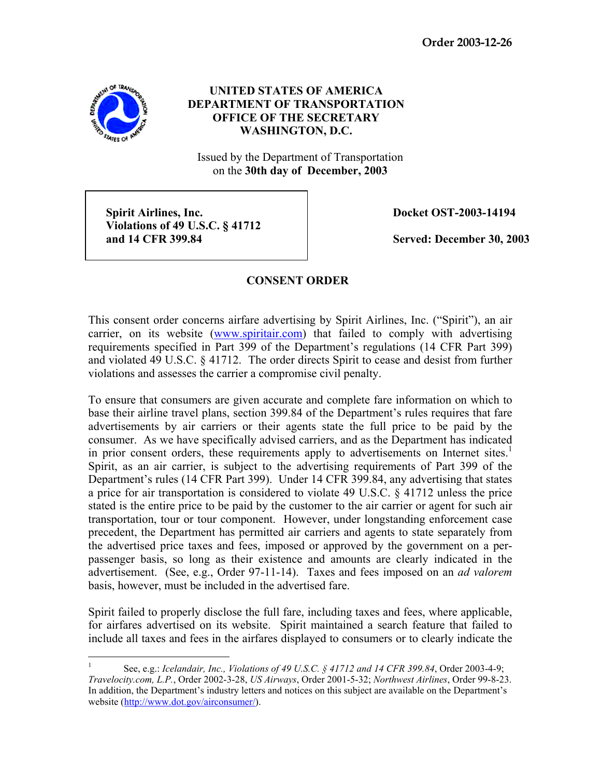

## **UNITED STATES OF AMERICA DEPARTMENT OF TRANSPORTATION OFFICE OF THE SECRETARY WASHINGTON, D.C.**

Issued by the Department of Transportation on the **30th day of December, 2003** 

**Spirit Airlines, Inc.**  $\qquad \qquad$  Docket OST-2003-14194  **Violations of 49 U.S.C. § 41712 and 14 CFR 399.84 Served: December 30, 2003**

## **CONSENT ORDER**

This consent order concerns airfare advertising by Spirit Airlines, Inc. ("Spirit"), an air carrier, on its website (www.spiritair.com) that failed to comply with advertising requirements specified in Part 399 of the Department's regulations (14 CFR Part 399) and violated 49 U.S.C. § 41712. The order directs Spirit to cease and desist from further violations and assesses the carrier a compromise civil penalty.

To ensure that consumers are given accurate and complete fare information on which to base their airline travel plans, section 399.84 of the Department's rules requires that fare advertisements by air carriers or their agents state the full price to be paid by the consumer. As we have specifically advised carriers, and as the Department has indicated in prior consent orders, these requirements apply to advertisements on Internet sites.<sup>1</sup> Spirit, as an air carrier, is subject to the advertising requirements of Part 399 of the Department's rules (14 CFR Part 399). Under 14 CFR 399.84, any advertising that states a price for air transportation is considered to violate 49 U.S.C. § 41712 unless the price stated is the entire price to be paid by the customer to the air carrier or agent for such air transportation, tour or tour component. However, under longstanding enforcement case precedent, the Department has permitted air carriers and agents to state separately from the advertised price taxes and fees, imposed or approved by the government on a perpassenger basis, so long as their existence and amounts are clearly indicated in the advertisement. (See, e.g., Order 97-11-14). Taxes and fees imposed on an *ad valorem*  basis, however, must be included in the advertised fare.

Spirit failed to properly disclose the full fare, including taxes and fees, where applicable, for airfares advertised on its website. Spirit maintained a search feature that failed to include all taxes and fees in the airfares displayed to consumers or to clearly indicate the

 $\frac{1}{1}$  See, e.g.: *Icelandair, Inc., Violations of 49 U.S.C. § 41712 and 14 CFR 399.84*, Order 2003-4-9; *Travelocity.com, L.P.*, Order 2002-3-28, *US Airways*, Order 2001-5-32; *Northwest Airlines*, Order 99-8-23. In addition, the Department's industry letters and notices on this subject are available on the Department's website (http://www.dot.gov/airconsumer/).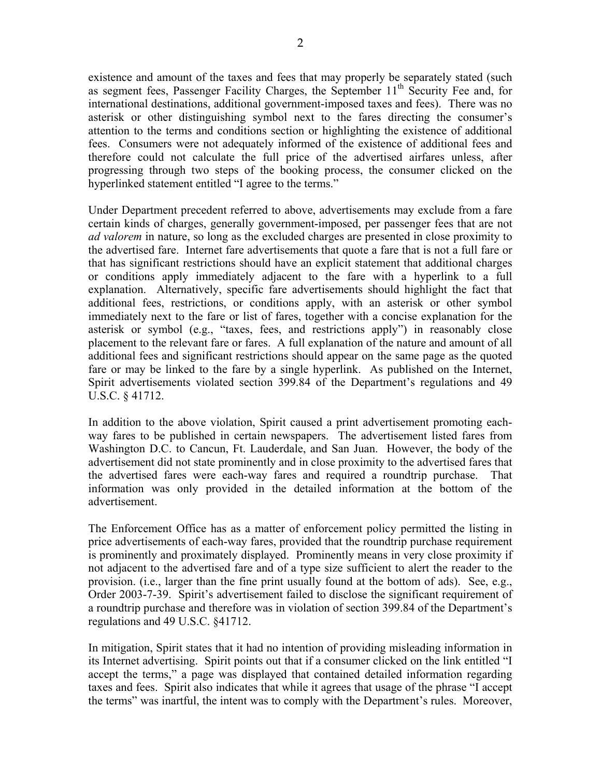existence and amount of the taxes and fees that may properly be separately stated (such as segment fees, Passenger Facility Charges, the September  $11<sup>th</sup>$  Security Fee and, for international destinations, additional government-imposed taxes and fees). There was no asterisk or other distinguishing symbol next to the fares directing the consumer's attention to the terms and conditions section or highlighting the existence of additional fees. Consumers were not adequately informed of the existence of additional fees and therefore could not calculate the full price of the advertised airfares unless, after progressing through two steps of the booking process, the consumer clicked on the hyperlinked statement entitled "I agree to the terms."

Under Department precedent referred to above, advertisements may exclude from a fare certain kinds of charges, generally government-imposed, per passenger fees that are not *ad valorem* in nature, so long as the excluded charges are presented in close proximity to the advertised fare. Internet fare advertisements that quote a fare that is not a full fare or that has significant restrictions should have an explicit statement that additional charges or conditions apply immediately adjacent to the fare with a hyperlink to a full explanation. Alternatively, specific fare advertisements should highlight the fact that additional fees, restrictions, or conditions apply, with an asterisk or other symbol immediately next to the fare or list of fares, together with a concise explanation for the asterisk or symbol (e.g., "taxes, fees, and restrictions apply") in reasonably close placement to the relevant fare or fares. A full explanation of the nature and amount of all additional fees and significant restrictions should appear on the same page as the quoted fare or may be linked to the fare by a single hyperlink. As published on the Internet, Spirit advertisements violated section 399.84 of the Department's regulations and 49 U.S.C. § 41712.

In addition to the above violation, Spirit caused a print advertisement promoting eachway fares to be published in certain newspapers. The advertisement listed fares from Washington D.C. to Cancun, Ft. Lauderdale, and San Juan. However, the body of the advertisement did not state prominently and in close proximity to the advertised fares that the advertised fares were each-way fares and required a roundtrip purchase. That information was only provided in the detailed information at the bottom of the advertisement.

The Enforcement Office has as a matter of enforcement policy permitted the listing in price advertisements of each-way fares, provided that the roundtrip purchase requirement is prominently and proximately displayed. Prominently means in very close proximity if not adjacent to the advertised fare and of a type size sufficient to alert the reader to the provision. (i.e., larger than the fine print usually found at the bottom of ads). See, e.g., Order 2003-7-39. Spirit's advertisement failed to disclose the significant requirement of a roundtrip purchase and therefore was in violation of section 399.84 of the Department's regulations and 49 U.S.C. §41712.

In mitigation, Spirit states that it had no intention of providing misleading information in its Internet advertising. Spirit points out that if a consumer clicked on the link entitled "I accept the terms," a page was displayed that contained detailed information regarding taxes and fees. Spirit also indicates that while it agrees that usage of the phrase "I accept the terms" was inartful, the intent was to comply with the Department's rules. Moreover,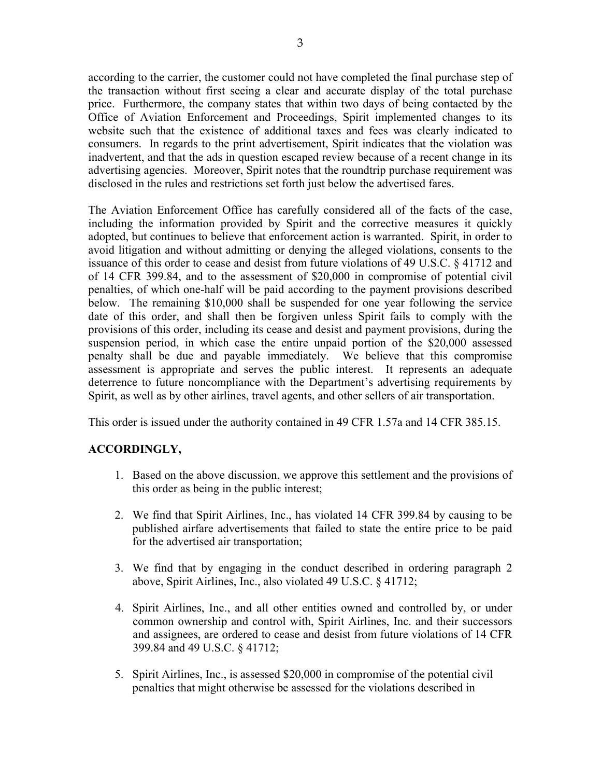according to the carrier, the customer could not have completed the final purchase step of the transaction without first seeing a clear and accurate display of the total purchase price. Furthermore, the company states that within two days of being contacted by the Office of Aviation Enforcement and Proceedings, Spirit implemented changes to its website such that the existence of additional taxes and fees was clearly indicated to consumers. In regards to the print advertisement, Spirit indicates that the violation was inadvertent, and that the ads in question escaped review because of a recent change in its advertising agencies. Moreover, Spirit notes that the roundtrip purchase requirement was disclosed in the rules and restrictions set forth just below the advertised fares.

The Aviation Enforcement Office has carefully considered all of the facts of the case, including the information provided by Spirit and the corrective measures it quickly adopted, but continues to believe that enforcement action is warranted. Spirit, in order to avoid litigation and without admitting or denying the alleged violations, consents to the issuance of this order to cease and desist from future violations of 49 U.S.C. § 41712 and of 14 CFR 399.84, and to the assessment of \$20,000 in compromise of potential civil penalties, of which one-half will be paid according to the payment provisions described below. The remaining \$10,000 shall be suspended for one year following the service date of this order, and shall then be forgiven unless Spirit fails to comply with the provisions of this order, including its cease and desist and payment provisions, during the suspension period, in which case the entire unpaid portion of the \$20,000 assessed penalty shall be due and payable immediately. We believe that this compromise assessment is appropriate and serves the public interest. It represents an adequate deterrence to future noncompliance with the Department's advertising requirements by Spirit, as well as by other airlines, travel agents, and other sellers of air transportation.

This order is issued under the authority contained in 49 CFR 1.57a and 14 CFR 385.15.

## **ACCORDINGLY,**

- 1. Based on the above discussion, we approve this settlement and the provisions of this order as being in the public interest;
- 2. We find that Spirit Airlines, Inc., has violated 14 CFR 399.84 by causing to be published airfare advertisements that failed to state the entire price to be paid for the advertised air transportation;
- 3. We find that by engaging in the conduct described in ordering paragraph 2 above, Spirit Airlines, Inc., also violated 49 U.S.C. § 41712;
- 4. Spirit Airlines, Inc., and all other entities owned and controlled by, or under common ownership and control with, Spirit Airlines, Inc. and their successors and assignees, are ordered to cease and desist from future violations of 14 CFR 399.84 and 49 U.S.C. § 41712;
- 5. Spirit Airlines, Inc., is assessed \$20,000 in compromise of the potential civil penalties that might otherwise be assessed for the violations described in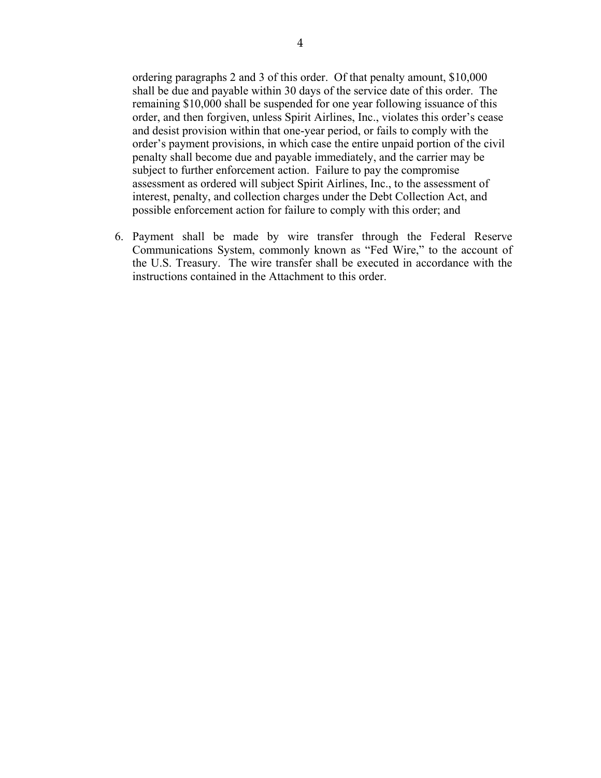ordering paragraphs 2 and 3 of this order. Of that penalty amount, \$10,000 shall be due and payable within 30 days of the service date of this order. The remaining \$10,000 shall be suspended for one year following issuance of this order, and then forgiven, unless Spirit Airlines, Inc., violates this order's cease and desist provision within that one-year period, or fails to comply with the order's payment provisions, in which case the entire unpaid portion of the civil penalty shall become due and payable immediately, and the carrier may be subject to further enforcement action. Failure to pay the compromise assessment as ordered will subject Spirit Airlines, Inc., to the assessment of interest, penalty, and collection charges under the Debt Collection Act, and possible enforcement action for failure to comply with this order; and

6. Payment shall be made by wire transfer through the Federal Reserve Communications System, commonly known as "Fed Wire," to the account of the U.S. Treasury. The wire transfer shall be executed in accordance with the instructions contained in the Attachment to this order.